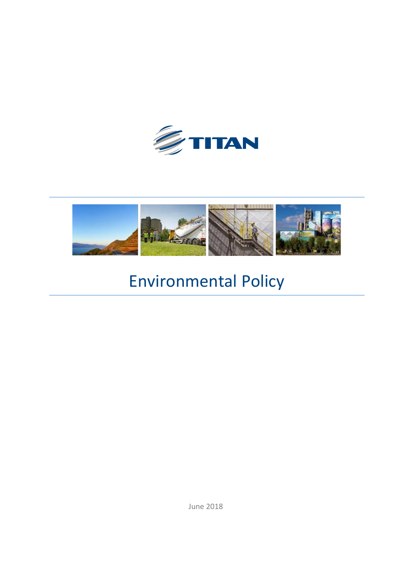



# Environmental Policy

June 2018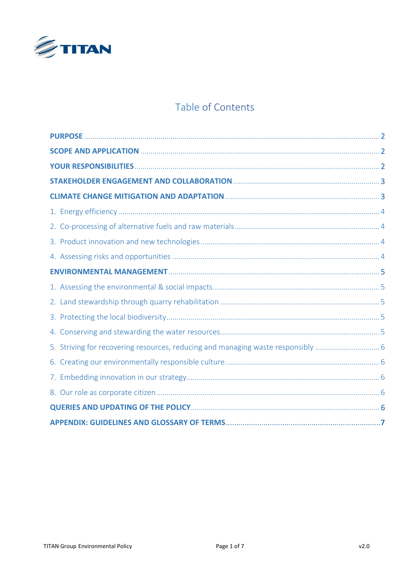

# Table of Contents

| 5. Striving for recovering resources, reducing and managing waste responsibly |  |
|-------------------------------------------------------------------------------|--|
|                                                                               |  |
|                                                                               |  |
|                                                                               |  |
|                                                                               |  |
|                                                                               |  |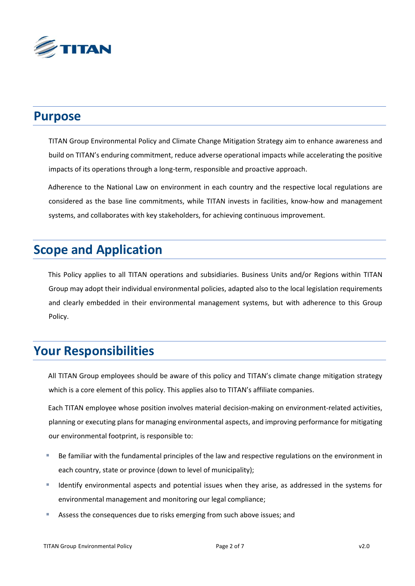

### **Purpose**

TITAN Group Environmental Policy and Climate Change Mitigation Strategy aim to enhance awareness and build on TITAN's enduring commitment, reduce adverse operational impacts while accelerating the positive impacts of its operations through a long-term, responsible and proactive approach.

Adherence to the National Law on environment in each country and the respective local regulations are considered as the base line commitments, while TITAN invests in facilities, know-how and management systems, and collaborates with key stakeholders, for achieving continuous improvement.

# **Scope and Application**

This Policy applies to all TITAN operations and subsidiaries. Business Units and/or Regions within TITAN Group may adopt their individual environmental policies, adapted also to the local legislation requirements and clearly embedded in their environmental management systems, but with adherence to this Group Policy.

# **Your Responsibilities**

All TITAN Group employees should be aware of this policy and TITAN's climate change mitigation strategy which is a core element of this policy. This applies also to TITAN's affiliate companies.

Each TITAN employee whose position involves material decision-making on environment-related activities, planning or executing plans for managing environmental aspects, and improving performance for mitigating our environmental footprint, is responsible to:

- Be familiar with the fundamental principles of the law and respective regulations on the environment in each country, state or province (down to level of municipality);
- Identify environmental aspects and potential issues when they arise, as addressed in the systems for environmental management and monitoring our legal compliance;
- Assess the consequences due to risks emerging from such above issues; and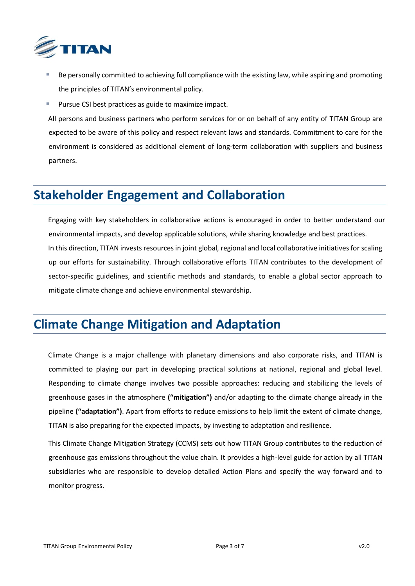

- Be personally committed to achieving full compliance with the existing law, while aspiring and promoting the principles of TITAN's environmental policy.
- Pursue CSI best practices as guide to maximize impact.

All persons and business partners who perform services for or on behalf of any entity of TITAN Group are expected to be aware of this policy and respect relevant laws and standards. Commitment to care for the environment is considered as additional element of long-term collaboration with suppliers and business partners.

### **Stakeholder Engagement and Collaboration**

Engaging with key stakeholders in collaborative actions is encouraged in order to better understand our environmental impacts, and develop applicable solutions, while sharing knowledge and best practices. In this direction, TITAN invests resources in joint global, regional and local collaborative initiatives for scaling up our efforts for sustainability. Through collaborative efforts TITAN contributes to the development of sector-specific guidelines, and scientific methods and standards, to enable a global sector approach to mitigate climate change and achieve environmental stewardship.

### **Climate Change Mitigation and Adaptation**

Climate Change is a major challenge with planetary dimensions and also corporate risks, and TITAN is committed to playing our part in developing practical solutions at national, regional and global level. Responding to climate change involves two possible approaches: reducing and stabilizing the levels of greenhouse gases in the atmosphere **("mitigation")** and/or adapting to the climate change already in the pipeline **("adaptation")**. Apart from efforts to reduce emissions to help limit the extent of climate change, TITAN is also preparing for the expected impacts, by investing to adaptation and resilience.

This Climate Change Mitigation Strategy (CCMS) sets out how TITAN Group contributes to the reduction of greenhouse gas emissions throughout the value chain. It provides a high-level guide for action by all TITAN subsidiaries who are responsible to develop detailed Action Plans and specify the way forward and to monitor progress.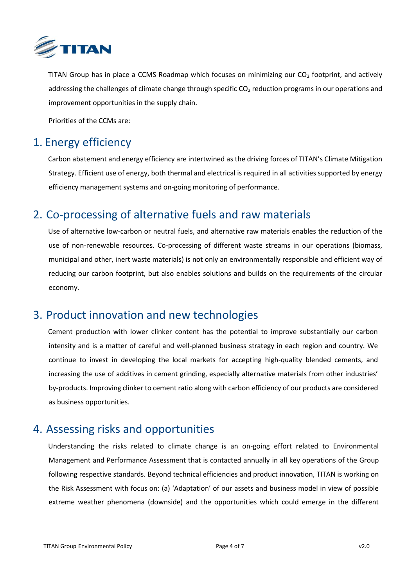

TITAN Group has in place a CCMS Roadmap which focuses on minimizing our  $CO<sub>2</sub>$  footprint, and actively addressing the challenges of climate change through specific  $CO<sub>2</sub>$  reduction programs in our operations and improvement opportunities in the supply chain.

Priorities of the CCMs are:

#### <span id="page-4-0"></span>1. Energy efficiency

Carbon abatement and energy efficiency are intertwined as the driving forces of TITAN's Climate Mitigation Strategy. Efficient use of energy, both thermal and electrical is required in all activities supported by energy efficiency management systems and on-going monitoring of performance.

#### <span id="page-4-1"></span>2. Co-processing of alternative fuels and raw materials

Use of alternative low-carbon or neutral fuels, and alternative raw materials enables the reduction of the use of non-renewable resources. Co-processing of different waste streams in our operations (biomass, municipal and other, inert waste materials) is not only an environmentally responsible and efficient way of reducing our carbon footprint, but also enables solutions and builds on the requirements of the circular economy.

#### <span id="page-4-2"></span>3. Product innovation and new technologies

Cement production with lower clinker content has the potential to improve substantially our carbon intensity and is a matter of careful and well-planned business strategy in each region and country. We continue to invest in developing the local markets for accepting high-quality blended cements, and increasing the use of additives in cement grinding, especially alternative materials from other industries' by-products. Improving clinker to cement ratio along with carbon efficiency of our products are considered as business opportunities.

#### <span id="page-4-3"></span>4. Assessing risks and opportunities

Understanding the risks related to climate change is an on-going effort related to Environmental Management and Performance Assessment that is contacted annually in all key operations of the Group following respective standards. Beyond technical efficiencies and product innovation, TITAN is working on the Risk Assessment with focus on: (a) 'Adaptation' of our assets and business model in view of possible extreme weather phenomena (downside) and the opportunities which could emerge in the different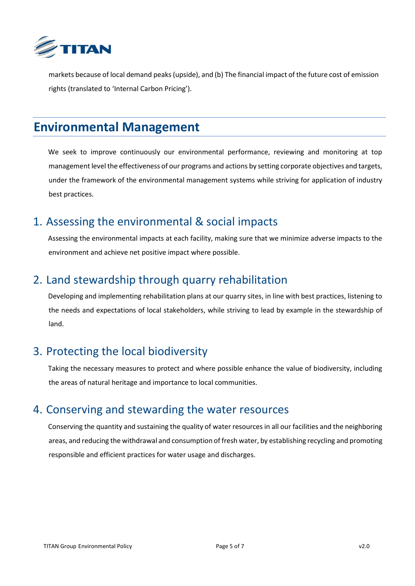

markets because of local demand peaks (upside), and (b) The financial impact of the future cost of emission rights (translated to 'Internal Carbon Pricing').

## **Environmental Management**

We seek to improve continuously our environmental performance, reviewing and monitoring at top management level the effectiveness of our programs and actions by setting corporate objectives and targets, under the framework of the environmental management systems while striving for application of industry best practices.

#### <span id="page-5-0"></span>1. Assessing the environmental & social impacts

Assessing the environmental impacts at each facility, making sure that we minimize adverse impacts to the environment and achieve net positive impact where possible.

### <span id="page-5-1"></span>2. Land stewardship through quarry rehabilitation

Developing and implementing rehabilitation plans at our quarry sites, in line with best practices, listening to the needs and expectations of local stakeholders, while striving to lead by example in the stewardship of land.

### <span id="page-5-2"></span>3. Protecting the local biodiversity

Taking the necessary measures to protect and where possible enhance the value of biodiversity, including the areas of natural heritage and importance to local communities.

#### <span id="page-5-3"></span>4. Conserving and stewarding the water resources

Conserving the quantity and sustaining the quality of water resources in all our facilities and the neighboring areas, and reducing the withdrawal and consumption of fresh water, by establishing recycling and promoting responsible and efficient practices for water usage and discharges.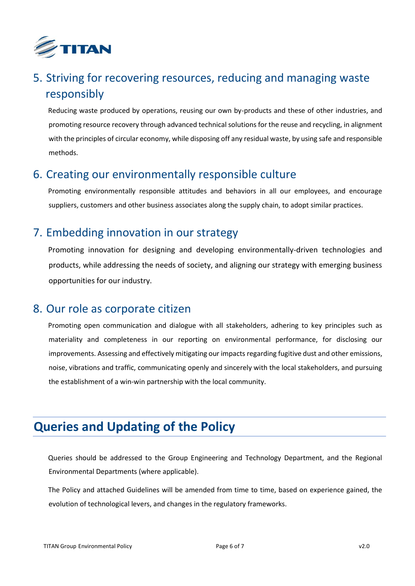

# <span id="page-6-0"></span>5. Striving for recovering resources, reducing and managing waste responsibly

Reducing waste produced by operations, reusing our own by-products and these of other industries, and promoting resource recovery through advanced technical solutions for the reuse and recycling, in alignment with the principles of circular economy, while disposing off any residual waste, by using safe and responsible methods.

#### <span id="page-6-1"></span>6. Creating our environmentally responsible culture

Promoting environmentally responsible attitudes and behaviors in all our employees, and encourage suppliers, customers and other business associates along the supply chain, to adopt similar practices.

### <span id="page-6-2"></span>7. Embedding innovation in our strategy

Promoting innovation for designing and developing environmentally-driven technologies and products, while addressing the needs of society, and aligning our strategy with emerging business opportunities for our industry.

#### <span id="page-6-3"></span>8. Our role as corporate citizen

Promoting open communication and dialogue with all stakeholders, adhering to key principles such as materiality and completeness in our reporting on environmental performance, for disclosing our improvements. Assessing and effectively mitigating our impacts regarding fugitive dust and other emissions, noise, vibrations and traffic, communicating openly and sincerely with the local stakeholders, and pursuing the establishment of a win-win partnership with the local community.

# **Queries and Updating of the Policy**

Queries should be addressed to the Group Engineering and Technology Department, and the Regional Environmental Departments (where applicable).

The Policy and attached Guidelines will be amended from time to time, based on experience gained, the evolution of technological levers, and changes in the regulatory frameworks.